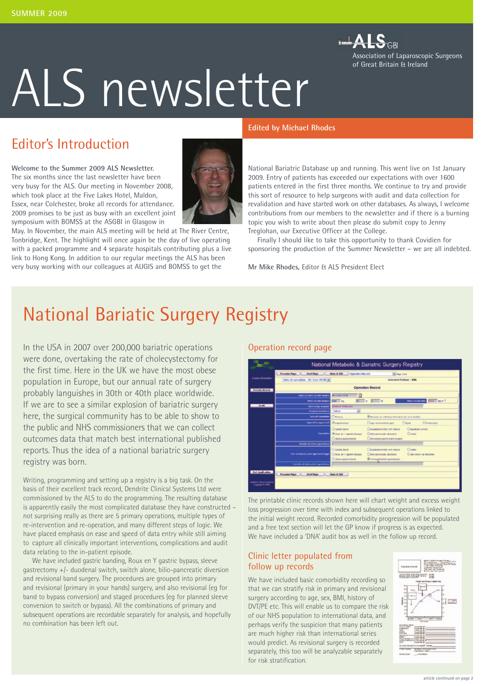

# ALS newsletter

## Editor's Introduction

**Welcome to the Summer 2009 ALS Newsletter.**  The six months since the last newsletter have been very busy for the ALS. Our meeting in November 2008, which took place at the Five Lakes Hotel, Maldon, Essex, near Colchester, broke all records for attendance. 2009 promises to be just as busy with an excellent joint symposium with BOMSS at the ASGBI in Glasgow in

May. In November, the main ALS meeting will be held at The River Centre, Tonbridge, Kent. The highlight will once again be the day of live operating with a packed programme and 4 separate hospitals contributing plus a live link to Hong Kong. In addition to our regular meetings the ALS has been very busy working with our colleagues at AUGIS and BOMSS to get the

# **Edited by Michael Rhodes**

National Bariatric Database up and running. This went live on 1st January 2009. Entry of patients has exceeded our expectations with over 1600 patients entered in the first three months. We continue to try and provide this sort of resource to help surgeons with audit and data collection for revalidation and have started work on other databases. As always, I welcome contributions from our members to the newsletter and if there is a burning topic you wish to write about then please do submit copy to Jenny Treglohan, our Executive Officer at the College.

Finally I should like to take this opportunity to thank Covidien for sponsoring the production of the Summer Newsletter – we are all indebted.

**Mr Mike Rhodes,** Editor & ALS President Elect

# National Bariatic Surgery Registry

In the USA in 2007 over 200,000 bariatric operations were done, overtaking the rate of cholecystectomy for the first time. Here in the UK we have the most obese population in Europe, but our annual rate of surgery probably languishes in 30th or 40th place worldwide. If we are to see a similar explosion of bariatric surgery here, the surgical community has to be able to show to the public and NHS commissioners that we can collect outcomes data that match best international published reports. Thus the idea of a national bariatric surgery registry was born.

Writing, programming and setting up a registry is a big task. On the basis of their excellent track record, Dendrite Clinical Systems Ltd were commissioned by the ALS to do the programming. The resulting database is apparently easily the most complicated database they have constructed – not surprising really as there are 5 primary operations, multiple types of re-intervention and re-operation, and many different steps of logic. We have placed emphasis on ease and speed of data entry while still aiming to capture all clinically important interventions, complications and audit data relating to the in-patient episode.

We have included gastric banding, Roux en Y gastric bypass, sleeve gastrectomy +/- duodenal switch, switch alone, bilio-pancreatic diversion and revisional band surgery. The procedures are grouped into primary and revisional (primary in your hands) surgery, and also revisional (eg for band to bypass conversion) and staged procedures (eg for planned sleeve conversion to switch or bypass). All the combinations of primary and subsequent operations are recordable separately for analysis, and hopefully no combination has been left out.

#### Operation record page



The printable clinic records shown here will chart weight and excess weight loss progression over time with index and subsequent operations linked to the initial weight record. Recorded comorbidity progression will be populated and a free text section will let the GP know if progress is as expected. We have included a 'DNA' audit box as well in the follow up record.

#### Clinic letter populated from follow up records

We have included basic comorbidity recording so that we can stratify risk in primary and revisional surgery according to age, sex, BMI, history of DVT/PE etc. This will enable us to compare the risk of our NHS population to international data, and perhaps verify the suspicion that many patients are much higher risk than international series would predict. As revisional surgery is recorded separately, this too will be analyzable separately for risk stratification.

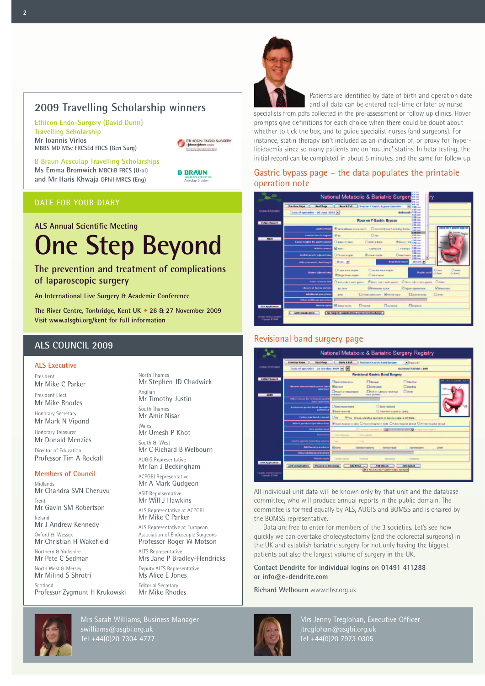#### **2009 Travelling Scholarship winners**

**Ethicon Endo-Surgery (David Dunn) Travelling Scholarship Mr Ioannis Virlos MBBS MD MSc FRCSEd FRCS (Gen Surg)**

ETHICON ENDO-SURGERY

**B Braun Aesculap Travelling Scholarships Ms Emma Bromwich MBChB FRCS (Urol) and Mr Haris Khwaja DPhil MRCS (Eng)**



#### **DATE FOR YOUR DIARY**

# **ALS Annual Scientific Meeting One Step Beyond**

#### **The prevention and treatment of complications of laparoscopic surgery**

**An International Live Surgery & Academic Conference**

**The River Centre, Tonbridge, Kent UK • 26 & 27 November 2009 Visit www.alsgbi.org/kent for full information**

#### **ALS COUNCIL 2009**

#### **ALS Executive**

President Mr Mike C Parker

President Elect Mr Mike Rhodes

Honorary Secretary Mr Mark N Vipond

Honorary Treasurer Mr Donald Menzies

Director of Education Professor Tim A Rockall

#### **Members of Council**

Midlands Mr Chandra SVN Cheruvu Trent Mr Gavin SM Robertson Ireland Mr J Andrew Kennedy Oxford & Wessex Mr Christian H Wakefield Northern & Yorkshire Mr Pete C Sedman North West & Mersey Mr Milind S Shrotri Scotland Professor Zygmunt H Krukowski

North Thames Mr Stephen JD Chadwick Anglian Mr Timothy Justin South Thames Mr Amir Nisar Wales Mr Umesh P Khot South & West Mr C Richard B Welbourn AUGIS Representative Mr Ian J Beckingham ACPGBI Representative Mr A Mark Gudgeon ASIT Representative Mr Will J Hawkins ALS Representative at ACPGBI Mr Mike C Parker ALS Representative at European Association of Endoscopic Surgeons Professor Roger W Motson ALTS Representative Mrs Jane P Bradley-Hendricks Deputy ALTS Representative Ms Alice E Jones

Editorial Secretary Mr Mike Rhodes



Patients are identified by date of birth and operation date

and all data can be entered real-time or later by nurse specialists from pdfs collected in the pre-assessment or follow up clinics. Hover prompts give definitions for each choice when there could be doubt about whether to tick the box, and to guide specialist nurses (and surgeons). For instance, statin therapy isn't included as an indication of, or proxy for, hyperlipidaemia since so many patients are on 'routine' statins. In beta testing, the initial record can be completed in about 5 minutes, and the same for follow up.

#### Gastric bypass page – the data populates the printable operation note



#### Revisional band surgery page



All individual unit data will be known only by that unit and the database committee, who will produce annual reports in the public domain. The committee is formed equally by ALS, AUGIS and BOMSS and is chaired by the BOMSS representative.

Data are free to enter for members of the 3 societies. Let's see how quickly we can overtake cholecystectomy (and the colorectal surgeons) in the UK and establish bariatric surgery for not only having the biggest patients but also the largest volume of surgery in the UK.

#### **Contact Dendrite for individual logins on 01491 411288 or info@e-dendrite.com**

**Richard Welbourn** www.nbsr.org.uk



Mrs Sarah Williams, Business Manager swilliams@asgbi.org.uk Tel +44(0)20 7304 4777



Mrs Jenny Treglohan, Executive Officer jtreglohan@asgbi.org.uk Tel +44(0)20 7973 0305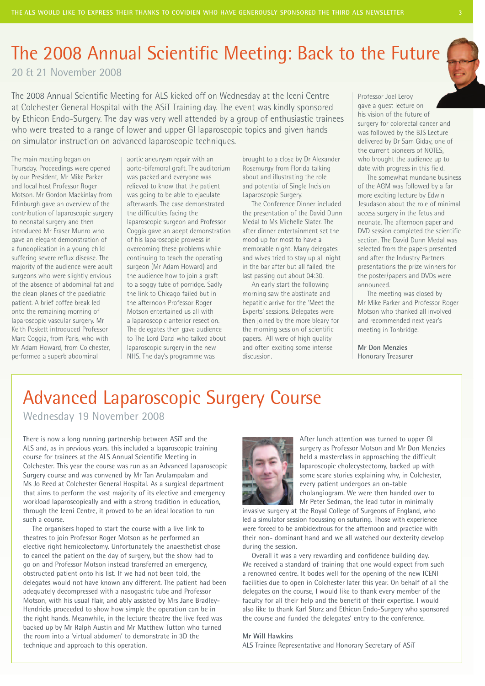# The 2008 Annual Scientific Meeting: Back to the Future

20 & 21 November 2008

The 2008 Annual Scientific Meeting for ALS kicked off on Wednesday at the Iceni Centre at Colchester General Hospital with the ASiT Training day. The event was kindly sponsored by Ethicon Endo-Surgery. The day was very well attended by a group of enthusiastic trainees who were treated to a range of lower and upper GI laparoscopic topics and given hands on simulator instruction on advanced laparoscopic techniques.

The main meeting began on Thursday. Proceedings were opened by our President, Mr Mike Parker and local host Professor Roger Motson. Mr Gordon Mackinlay from Edinburgh gave an overview of the contribution of laparoscopic surgery to neonatal surgery and then introduced Mr Fraser Munro who gave an elegant demonstration of a fundoplication in a young child suffering severe reflux disease. The majority of the audience were adult surgeons who were slightly envious of the absence of abdominal fat and the clean planes of the paediatric patient. A brief coffee break led onto the remaining morning of laparoscopic vascular surgery. Mr Keith Poskett introduced Professor Marc Coggia, from Paris, who with Mr Adam Howard, from Colchester, performed a superb abdominal

aortic aneurysm repair with an aorto-bifemoral graft. The auditorium was packed and everyone was relieved to know that the patient was going to be able to ejaculate afterwards. The case demonstrated the difficulties facing the laparoscopic surgeon and Professor Coggia gave an adept demonstration of his laparoscopic prowess in overcoming these problems while continuing to teach the operating surgeon (Mr Adam Howard) and the audience how to join a graft to a soggy tube of porridge. Sadly the link to Chicago failed but in the afternoon Professor Roger Motson entertained us all with a laparoscopic anterior resection. The delegates then gave audience to The Lord Darzi who talked about laparoscopic surgery in the new NHS. The day's programme was

brought to a close by Dr Alexander Rosemurgy from Florida talking about and illustrating the role and potential of Single Incision Laparoscopic Surgery.

The Conference Dinner included the presentation of the David Dunn Medal to Ms Michelle Slater. The after dinner entertainment set the mood up for most to have a memorable night. Many delegates and wives tried to stay up all night in the bar after but all failed, the last passing out about 04:30.

An early start the following morning saw the abstinate and hepatitic arrive for the 'Meet the Experts' sessions. Delegates were then joined by the more bleary for the morning session of scientific papers. All were of high quality and often exciting some intense discussion.

Professor Joel Leroy gave a guest lecture on his vision of the future of surgery for colorectal cancer and was followed by the BJS Lecture delivered by Dr Sam Giday, one of the current pioneers of NOTES, who brought the audience up to date with progress in this field.

The somewhat mundane business of the AGM was followed by a far more exciting lecture by Edwin Jesudason about the role of minimal access surgery in the fetus and neonate. The afternoon paper and DVD session completed the scientific section. The David Dunn Medal was selected from the papers presented and after the Industry Partners presentations the prize winners for the poster/papers and DVDs were announced.

The meeting was closed by Mr Mike Parker and Professor Roger Motson who thanked all involved and recommended next year's meeting in Tonbridge.

**Mr Don Menzies** Honorary Treasurer

Advanced Laparoscopic Surgery Course Wednesday 19 November 2008

There is now a long running partnership between ASiT and the ALS and, as in previous years, this included a laparoscopic training course for trainees at the ALS Annual Scientific Meeting in Colchester. This year the course was run as an Advanced Laparoscopic Surgery course and was convened by Mr Tan Arulampalam and Ms Jo Reed at Colchester General Hospital. As a surgical department that aims to perform the vast majority of its elective and emergency workload laparoscopically and with a strong tradition in education, through the Iceni Centre, it proved to be an ideal location to run such a course.

The organisers hoped to start the course with a live link to theatres to join Professor Roger Motson as he performed an elective right hemicolectomy. Unfortunately the anaesthetist chose to cancel the patient on the day of surgery, but the show had to go on and Professor Motson instead transferred an emergency, obstructed patient onto his list. If we had not been told, the delegates would not have known any different. The patient had been adequately decompressed with a nasogastric tube and Professor Motson, with his usual flair, and ably assisted by Mrs Jane Bradley-Hendricks proceeded to show how simple the operation can be in the right hands. Meanwhile, in the lecture theatre the live feed was backed up by Mr Ralph Austin and Mr Matthew Tutton who turned the room into a 'virtual abdomen' to demonstrate in 3D the technique and approach to this operation.



After lunch attention was turned to upper GI surgery as Professor Motson and Mr Don Menzies held a masterclass in approaching the difficult laparoscopic cholecystectomy, backed up with some scare stories explaining why, in Colchester, every patient undergoes an on-table cholangiogram. We were then handed over to Mr Peter Sedman, the lead tutor in minimally

invasive surgery at the Royal College of Surgeons of England, who led a simulator session focussing on suturing. Those with experience were forced to be ambidextrous for the afternoon and practice with their non- dominant hand and we all watched our dexterity develop during the session.

Overall it was a very rewarding and confidence building day. We received a standard of training that one would expect from such a renowned centre. It bodes well for the opening of the new ICENI facilities due to open in Colchester later this year. On behalf of all the delegates on the course, I would like to thank every member of the faculty for all their help and the benefit of their expertise. I would also like to thank Karl Storz and Ethicon Endo-Surgery who sponsored the course and funded the delegates' entry to the conference.

#### **Mr Will Hawkins**

ALS Trainee Representative and Honorary Secretary of ASiT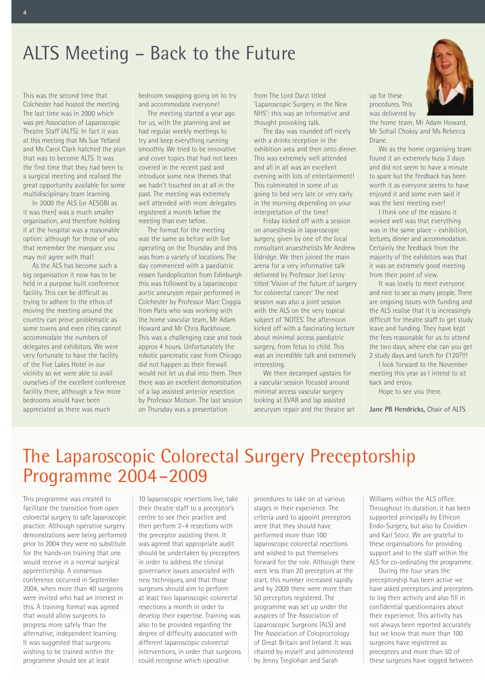# ALTS Meeting – Back to the Future

This was the second time that Colchester had hosted the meeting. The last time was in 2000 which was pre Association of Laparoscopic Theatre Staff (ALTS). In fact it was at this meeting that Ms Sue Yelland and Ms Carol Clark hatched the plan that was to become ALTS. It was the first time that they had been to a surgical meeting and realised the great opportunity available for some multidisciplinary team learning.

**4**

In 2000 the ALS (or AESGBI as it was then) was a much smaller organisation, and therefore holding it at the hospital was a reasonable option: although for those of you that remember the marquee you may not agree with that!

As the ALS has become such a big organisation it now has to be held in a purpose built conference facility. This can be difficult as trying to adhere to the ethos of moving the meeting around the country can prove problematic as some towns and even cities cannot accommodate the numbers of delegates and exhibitors. We were very fortunate to have the facility of the Five Lakes Hotel in our vicinity so we were able to avail ourselves of the excellent conference facility there, although a few more bedrooms would have been appreciated as there was much

bedroom swapping going on to try and accommodate everyone!

The meeting started a year ago for us, with the planning and we had regular weekly meetings to try and keep everything running smoothly. We tried to be innovative and cover topics that had not been covered in the recent past and introduce some new themes that we hadn't touched on at all in the past. The meeting was extremely well attended with more delegates registered a month before the meeting than ever before.

The format for the meeting was the same as before with live operating on the Thursday and this was from a variety of locations. The day commenced with a paediatric nissen fundoplication from Edinburgh this was followed by a laparoscopic aortic aneurysm repair performed in Colchester by Professor Marc Coggia from Paris who was working with the home vascular team, Mr Adam Howard and Mr Chris Backhouse. This was a challenging case and took approx 4 hours. Unfortunately the robotic pancreatic case from Chicago did not happen as their firewall would not let us dial into them. Then there was an excellent demonstration of a lap assisted anterior resection by Professor Motson. The last session on Thursday was a presentation

from The Lord Darzi titled 'Laparoscopic Surgery in the New NHS': this was an informative and thought provoking talk.

The day was rounded off nicely with a drinks reception in the exhibition area and then onto dinner. This was extremely well attended and all in all was an excellent evening with lots of entertainment! This culminated in some of us going to bed very late or very early in the morning depending on your interpretation of the time!

Friday kicked off with a session on anaesthesia in laparoscopic surgery, given by one of the local consultant anaesthetists Mr Andrew Eldridge. We then joined the main arena for a very informative talk delivered by Professor Joel Leroy titled 'Vision of the future of surgery for colorectal cancer' The next session was also a joint session with the ALS on the very topical subject of 'NOTES'. The afternoon kicked off with a fascinating lecture about minimal access paediatric surgery, from fetus to child. This was an incredible talk and extremely interesting.

We then decamped upstairs for a vascular session focused around minimal access vascular surgery looking at EVAR and lap assisted aneurysm repair and the theatre set

up for these procedures. This was delivered by

the home team, Mr Adam Howard, Mr Sohail Choksy and Ms Rebecca Drane.

We as the home organising team found it an extremely busy 3 days and did not seem to have a minute to spare but the feedback has been worth it as everyone seems to have enjoyed it and some even said it was the best meeting ever!

I think one of the reasons it worked well was that everything was in the same place – exhibition, lectures, dinner and accommodation. Certainly the feedback from the majority of the exhibitors was that it was an extremely good meeting from their point of view.

It was lovely to meet everyone and nice to see so many people. There are ongoing issues with funding and the ALS realise that it is increasingly difficult for theatre staff to get study leave and funding. They have kept the fees reasonable for us to attend the two days, where else can you get 2 study days and lunch for £120?!!!

I look forward to the November meeting this year as I intend to sit back and enjoy.

Hope to see you there.

**Jane PB Hendricks,** Chair of ALTS

# The Laparoscopic Colorectal Surgery Preceptorship Programme 2004–2009

This programme was created to facilitate the transition from open colorectal surgery to safe laparoscopic practice. Although operative surgery demonstrations were being performed prior to 2004 they were no substitute for the hands-on training that one would receive in a normal surgical apprenticeship. A consensus conference occurred in September 2004, when more than 40 surgeons were invited who had an interest in this. A training format was agreed that would allow surgeons to progress more safely than the alternative, independent learning. It was suggested that surgeons wishing to be trained within the programme should see at least

10 laparoscopic resections live, take their theatre staff to a preceptor's centre to see their practice and then perform 2–4 resections with the preceptor assisting them. It was agreed that appropriate audit should be undertaken by preceptees in order to address the clinical governance issues associated with new techniques, and that those surgeons should aim to perform at least two laparoscopic colorectal resections a month in order to develop their expertise. Training was also to be provided regarding the degree of difficulty associated with different laparoscopic colorectal interventions, in order that surgeons could recognise which operative

procedures to take on at various stages in their experience. The criteria used to appoint preceptors were that they should have performed more than 100 laparoscopic colorectal resections and wished to put themselves forward for the role. Although there were less than 20 preceptors at the start, this number increased rapidly and by 2009 there were more than 50 preceptors registered. The programme was set up under the auspices of The Association of Laparoscopic Surgeons (ALS) and The Association of Coloproctology of Great Britain and Ireland. It was chaired by myself and administered by Jenny Treglohan and Sarah

Williams within the ALS office. Throughout its duration, it has been supported principally by Ethicon Endo-Surgery, but also by Covidien and Karl Storz. We are grateful to these organisations for providing support and to the staff within the ALS for co-ordinating the programme.

During the four years the preceptorship has been active we have asked preceptors and preceptees to log their activity and also fill in confidential questionnaires about their experience. This activity has not always been reported accurately but we know that more than 100 surgeons have registered as preceptees and more than 50 of these surgeons have logged between

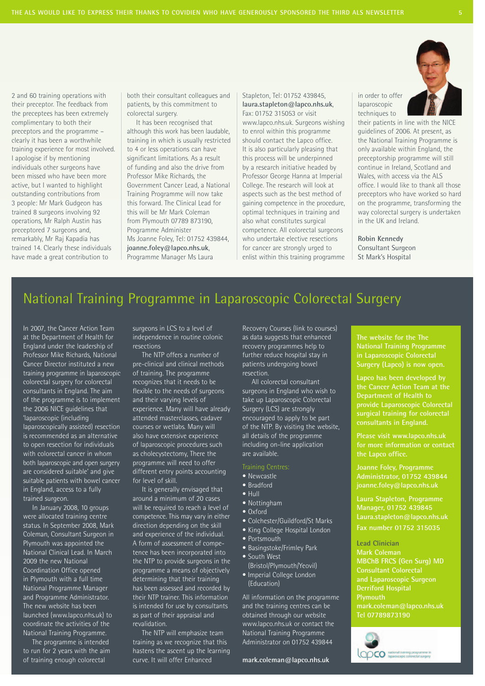2 and 60 training operations with their preceptor. The feedback from the preceptees has been extremely complimentary to both their preceptors and the programme – clearly it has been a worthwhile training experience for most involved. I apologise if by mentioning individuals other surgeons have been missed who have been more active, but I wanted to highlight outstanding contributions from 3 people: Mr Mark Gudgeon has trained 8 surgeons involving 92 operations, Mr Ralph Austin has preceptored 7 surgeons and, remarkably, Mr Raj Kapadia has trained 14. Clearly these individuals have made a great contribution to

both their consultant colleagues and patients, by this commitment to colorectal surgery.

It has been recognised that although this work has been laudable, training in which is usually restricted to 4 or less operations can have significant limitations. As a result of funding and also the drive from Professor Mike Richards, the Government Cancer Lead, a National Training Programme will now take this forward. The Clinical Lead for this will be Mr Mark Coleman from Plymouth 07789 873190, Programme Administer Ms Joanne Foley, Tel: 01752 439844, **joanne.foley@lapco.nhs.uk**, Programme Manager Ms Laura

Stapleton, Tel: 01752 439845, **laura.stapleton@lapco.nhs.uk**, Fax: 01752 315053 or visit www.lapco.nhs.uk. Surgeons wishing to enrol within this programme should contact the Lapco office. It is also particularly pleasing that this process will be underpinned by a research initiative headed by Professor George Hanna at Imperial College. The research will look at aspects such as the best method of gaining competence in the procedure, optimal techniques in training and also what constitutes surgical competence. All colorectal surgeons who undertake elective resections for cancer are strongly urged to enlist within this training programme in order to offer laparoscopic techniques to

their patients in line with the NICE guidelines of 2006. At present, as the National Training Programme is only available within England, the preceptorship programme will still continue in Ireland, Scotland and Wales, with access via the ALS office. I would like to thank all those preceptors who have worked so hard on the programme, transforming the way colorectal surgery is undertaken in the UK and Ireland.

**Robin Kennedy** Consultant Surgeon St Mark's Hospital

## National Training Programme in Laparoscopic Colorectal Surgery

In 2007, the Cancer Action Team at the Department of Health for England under the leadership of Professor Mike Richards, National Cancer Director instituted a new training programme in laparoscopic colorectal surgery for colorectal consultants in England. The aim of the programme is to implement the 2006 NICE guidelines that 'laparoscopic (including laparoscopically assisted) resection is recommended as an alternative to open resection for individuals with colorectal cancer in whom both laparoscopic and open surgery are considered suitable' and give suitable patients with bowel cancer in England, access to a fully trained surgeon.

In January 2008, 10 groups were allocated training centre status. In September 2008, Mark Coleman, Consultant Surgeon in Plymouth was appointed the National Clinical Lead. In March 2009 the new National Coordination Office opened in Plymouth with a full time National Programme Manager and Programme Administrator. The new website has been launched (www.lapco.nhs.uk) to coordinate the activities of the National Training Programme.

The programme is intended to run for 2 years with the aim of training enough colorectal

surgeons in LCS to a level of independence in routine colonic resections

The NTP offers a number of pre-clinical and clinical methods of training. The programme recognizes that it needs to be flexible to the needs of surgeons and their varying levels of experience. Many will have already attended masterclasses, cadaver courses or wetlabs. Many will also have extensive experience of laparoscopic procedures such as cholecystectomy, There the programme will need to offer different entry points accounting for level of skill.

It is generally envisaged that around a minimum of 20 cases will be required to reach a level of competence. This may vary in either direction depending on the skill and experience of the individual. A form of assessment of competence has been incorporated into the NTP to provide surgeons in the programme a means of objectively determining that their training has been assessed and recorded by their NTP trainer. This information is intended for use by consultants as part of their appraisal and revalidation.

The NTP will emphasize team training as we recognize that this hastens the ascent up the learning curve. It will offer Enhanced

Recovery Courses (link to courses) as data suggests that enhanced recovery programmes help to further reduce hospital stay in patients undergoing bowel resection.

All colorectal consultant surgeons in England who wish to take up Laparoscopic Colorectal Surgery (LCS) are strongly encouraged to apply to be part of the NTP. By visiting the website, all details of the programme including on-line application are available.

- Newcastle
- Bradford
- Hull
- Nottingham
- Oxford
- Colchester/Guildford/St Marks
- King College Hospital London
- Portsmouth
- Basingstoke/Frimley Park
- South West
- (Bristol/Plymouth/Yeovil) • Imperial College London
- (Education)

All information on the programme and the training centres can be obtained through our website www.lapco.nhs.uk or contact the National Training Programme Administrator on 01752 439844

**mark.coleman@lapco.nhs.uk**

**The website for the The National Training Programme Surgery (Lapco) is now open.**

**Lapco has been developed by the Cancer Action Team at the Department of Health to provide Laparoscopic Colorectal surgical training for colorectal consultants in England.**

**Please visit www.lapco.nhs.uk for more information or contact**

**Joanne Foley, Programme joanne.foley@lapco.nhs.uk**

**Laura Stapleton, Programme Manager, 01752 439845 Laura.stapleton@lapco.nhs.uk Fax number 01752 315035**

**Lead Clinician Mark Coleman MBChB FRCS (Gen Surg) MD Consultant Colorectal and Laparoscopic Surgeon Plymouth mark.coleman@lapco.nhs.uk Tel 07789873190**

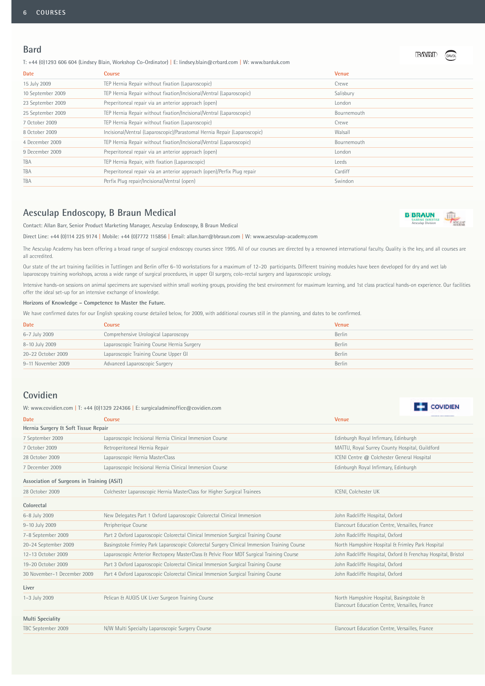#### **Bard**

T: +44 (0)1293 606 604 (Lindsey Blain, Workshop Co-Ordinator) | E: lindsey.blain@crbard.com | W: www.barduk.com

| <b>Date</b>       | <b>Course</b>                                                             | Venue       |
|-------------------|---------------------------------------------------------------------------|-------------|
| 15 July 2009      | TEP Hernia Repair without fixation (Laparoscopic)                         | Crewe       |
| 10 September 2009 | TEP Hernia Repair without fixation/Incisional/Ventral (Laparoscopic)      | Salisbury   |
| 23 September 2009 | Preperitoneal repair via an anterior approach (open)                      | London      |
| 25 September 2009 | TEP Hernia Repair without fixation/Incisional/Ventral (Laparoscopic)      | Bournemouth |
| 7 October 2009    | TEP Hernia Repair without fixation (Laparoscopic)                         | Crewe       |
| 8 October 2009    | Incisional/Ventral (Laparoscopic)/Parastomal Hernia Repair (Laparoscopic) | Walsall     |
| 4 December 2009   | TEP Hernia Repair without fixation/Incisional/Ventral (Laparoscopic)      | Bournemouth |
| 9 December 2009   | Preperitoneal repair via an anterior approach (open)                      | London      |
| TBA               | TEP Hernia Repair, with fixation (Laparoscopic)                           | Leeds       |
| TBA               | Preperitoneal repair via an anterior approach (open)/Perfix Plug repair   | Cardiff     |
| TBA               | Perfix Plug repair/Incisional/Ventral (open)                              | Swindon     |

#### **Aesculap Endoscopy, B Braun Medical**

Contact: Allan Barr, Senior Product Marketing Manager, Aesculap Endoscopy, B Braun Medical



**COVIDIEN** 

**BANRID** 

Direct Line: +44 (0)114 225 9174 | Mobile: +44 (0)7772 115856 | Email: allan.barr@bbraun.com | W: www.aesculap-academy.com

The Aesculap Academy has been offering a broad range of surgical endoscopy courses since 1995. All of our courses are directed by a renowned international faculty. Quality is the key, and all courses are all accredited.

Our state of the art training facilities in Tuttlingen and Berlin offer 6-10 workstations for a maximum of 12-20 participants. Different training modules have been developed for dry and wet lab laparoscopy training workshops, across a wide range of surgical procedures, in upper GI surgery, colo-rectal surgery and laparoscopic urology.

Intensive hands-on sessions on animal specimens are supervised within small working groups, providing the best environment for maximum learning, and 1st class practical hands-on experience. Our facilities offer the ideal set-up for an intensive exchange of knowledge.

**Horizons of Knowledge – Competence to Master the Future.**

We have confirmed dates for our English speaking course detailed below, for 2009, with additional courses still in the planning, and dates to be confirmed.

| <b>Date</b>        | Course                                      | <b>Venue</b> |
|--------------------|---------------------------------------------|--------------|
| 6-7 July 2009      | Comprehensive Urological Laparoscopy        | Berlin       |
| 8-10 July 2009     | Laparoscopic Training Course Hernia Surgery | Berlin       |
| 20-22 October 2009 | Laparoscopic Training Course Upper GI       | Berlin       |
| 9-11 November 2009 | Advanced Laparoscopic Surgery               | Berlin       |

#### **Covidien**

W: www.covidien.com | T: +44 (0)1329 224366 | E: surgicaladminoffice@covidien.com

| <b>Date</b>                                | <b>Course</b>                                                                               | <b>Venue</b>                                                                              |  |
|--------------------------------------------|---------------------------------------------------------------------------------------------|-------------------------------------------------------------------------------------------|--|
| Hernia Surgery & Soft Tissue Repair        |                                                                                             |                                                                                           |  |
| 7 September 2009                           | Laparoscopic Incisional Hernia Clinical Immersion Course                                    | Edinburgh Royal Infirmary, Edinburgh                                                      |  |
| 7 October 2009                             | Retroperitoneal Hernia Repair                                                               | MATTU, Royal Surrey County Hospital, Guildford                                            |  |
| 28 October 2009                            | Laparoscopic Hernia MasterClass                                                             | ICENI Centre @ Colchester General Hospital                                                |  |
| 7 December 2009                            | Laparoscopic Incisional Hernia Clinical Immersion Course                                    | Edinburgh Royal Infirmary, Edinburgh                                                      |  |
| Association of Surgeons in Training (ASiT) |                                                                                             |                                                                                           |  |
| 28 October 2009                            | Colchester Laparoscopic Hernia MasterClass for Higher Surgical Trainees                     | ICENI, Colchester UK                                                                      |  |
| Colorectal                                 |                                                                                             |                                                                                           |  |
| 6-8 July 2009                              | New Delegates Part 1 Oxford Laparoscopic Colorectal Clinical Immersion                      | John Radcliffe Hospital, Oxford                                                           |  |
| 9-10 July 2009                             | Peripherique Course                                                                         | Elancourt Education Centre, Versailles, France                                            |  |
| 7-8 September 2009                         | Part 2 Oxford Laparoscopic Colorectal Clinical Immersion Surgical Training Course           | John Radcliffe Hospital, Oxford                                                           |  |
| 20-24 September 2009                       | Basingstoke Frimley Park Laparoscopic Colorectal Surgery Clinical Immersion Training Course | North Hampshire Hospital & Frimley Park Hospital                                          |  |
| 12-13 October 2009                         | Laparoscopic Anterior Rectopexy MasterClass & Pelvic Floor MDT Surgical Training Course     | John Radcliffe Hospital, Oxford & Frenchay Hospital, Bristol                              |  |
| 19-20 October 2009                         | Part 3 Oxford Laparoscopic Colorectal Clinical Immersion Surgical Training Course           | John Radcliffe Hospital, Oxford                                                           |  |
| 30 November-1 December 2009                | Part 4 Oxford Laparoscopic Colorectal Clinical Immersion Surgical Training Course           | John Radcliffe Hospital, Oxford                                                           |  |
| Liver                                      |                                                                                             |                                                                                           |  |
| 1-3 July 2009                              | Pelican & AUGIS UK Liver Surgeon Training Course                                            | North Hampshire Hospital, Basingstoke &<br>Elancourt Education Centre, Versailles, France |  |
| <b>Multi Speciality</b>                    |                                                                                             |                                                                                           |  |
| TBC September 2009                         | N/W Multi Specialty Laparoscopic Surgery Course                                             | Elancourt Education Centre, Versailles, France                                            |  |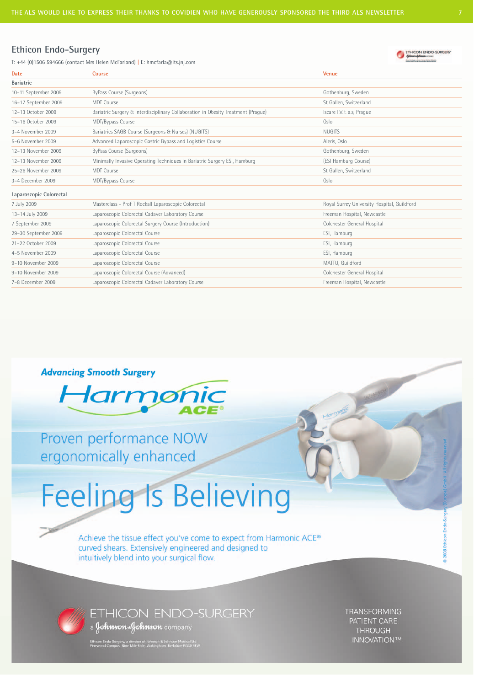**Date Course Venue**

#### **Ethicon Endo-Surgery**

T: +44 (0)1506 594666 (contact Mrs Helen McFarland) | E: hmcfarla@its.jnj.com



| <b>Bariatric</b>        |                                                                                   |                                             |
|-------------------------|-----------------------------------------------------------------------------------|---------------------------------------------|
| 10-11 September 2009    | ByPass Course (Surgeons)                                                          | Gothenburg, Sweden                          |
| 16-17 September 2009    | <b>MDT</b> Course                                                                 | St Gallen, Switzerland                      |
| 12-13 October 2009      | Bariatric Surgery & Interdisciplinary Collaboration in Obesity Treatment (Prague) | Iscare I.V.F. a.s, Prague                   |
| 15-16 October 2009      | MDT/Bypass Course                                                                 | Oslo                                        |
| 3-4 November 2009       | Bariatrics SAGB Course (Surgeons & Nurses) (NUGITS)                               | <b>NUGITS</b>                               |
| 5-6 November 2009       | Advanced Laparoscopic Gastric Bypass and Logistics Course                         | Aleris, Oslo                                |
| 12-13 November 2009     | ByPass Course (Surgeons)                                                          | Gothenburg, Sweden                          |
| 12-13 November 2009     | Minimally Invasive Operating Techniques in Bariatric Surgery ESI, Hamburg         | (ESI Hamburg Course)                        |
| 25-26 November 2009     | <b>MDT</b> Course                                                                 | St Gallen, Switzerland                      |
| 3-4 December 2009       | MDT/Bypass Course                                                                 | Oslo                                        |
| Laparoscopic Colorectal |                                                                                   |                                             |
| 7 July 2009             | Masterclass - Prof T Rockall Laparoscopic Colorectal                              | Royal Surrey University Hospital, Guildford |
| 13-14 July 2009         | Laparoscopic Colorectal Cadaver Laboratory Course                                 | Freeman Hospital, Newcastle                 |
| 7 September 2009        | Laparoscopic Colorectal Surgery Course (Introduction)                             | Colchester General Hospital                 |
| 29-30 September 2009    | Laparoscopic Colorectal Course                                                    | ESI, Hamburg                                |
| 21-22 October 2009      | Laparoscopic Colorectal Course                                                    | ESI, Hamburg                                |
| 4-5 November 2009       | Laparoscopic Colorectal Course                                                    | ESI, Hamburg                                |
| 9-10 November 2009      | Laparoscopic Colorectal Course                                                    | MATTU, Guildford                            |
| 9-10 November 2009      | Laparoscopic Colorectal Course (Advanced)                                         | Colchester General Hospital                 |
| 7-8 December 2009       | Laparoscopic Colorectal Cadaver Laboratory Course                                 | Freeman Hospital, Newcastle                 |

#### **Advancing Smooth Surgery**

![](_page_6_Picture_6.jpeg)

Proven performance NOW ergonomically enhanced

# **Feeling Is Believing**

Achieve the tissue effect you've come to expect from Harmonic ACE® curved shears. Extensively engineered and designed to intuitively blend into your surgical flow.

![](_page_6_Picture_10.jpeg)

**ETHICON ENDO-SURGERY** a Johnson Johnson company

Ethicon Endo-Surgery, a division of Johnson & Johnson Medical Ltd<br>Pinewood Campus, Nine Mile Bide, Wokingbarn, Berkshire RG40 3EV

**TRANSFORMING** PATIENT CARE **THROUGH INNOVATION™**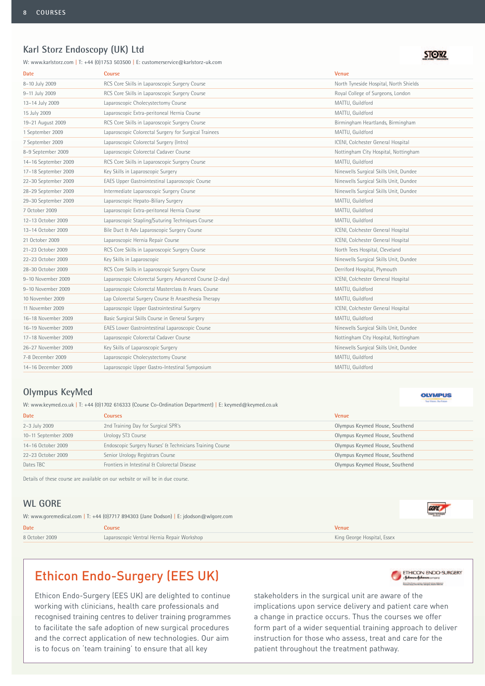#### **Karl Storz Endoscopy (UK) Ltd**

W: www.karlstorz.com | T: +44 (0)1753 503500 | E: customerservice@karlstorz-uk.com

| <b>Date</b>          | Course                                                  | <b>Venue</b>                           |
|----------------------|---------------------------------------------------------|----------------------------------------|
| 8-10 July 2009       | RCS Core Skills in Laparoscopic Surgery Course          | North Tyneside Hospital, North Shields |
| 9-11 July 2009       | RCS Core Skills in Laparoscopic Surgery Course          | Royal College of Surgeons, London      |
| 13-14 July 2009      | Laparoscopic Cholecystectomy Course                     | MATTU, Guildford                       |
| 15 July 2009         | Laparoscopic Extra-peritoneal Hernia Course             | MATTU, Guildford                       |
| 19-21 August 2009    | RCS Core Skills in Laparoscopic Surgery Course          | Birmingham Heartlands, Birmingham      |
| 1 September 2009     | Laparoscopic Colorectal Surgery for Surgical Trainees   | MATTU, Guildford                       |
| 7 September 2009     | Laparoscopic Colorectal Surgery (Intro)                 | ICENI, Colchester General Hospital     |
| 8-9 September 2009   | Laparoscopic Colorectal Cadaver Course                  | Nottingham City Hospital, Nottingham   |
| 14-16 September 2009 | RCS Core Skills in Laparoscopic Surgery Course          | MATTU, Guildford                       |
| 17-18 September 2009 | Key Skills in Laparoscopic Surgery                      | Ninewells Surgical Skills Unit, Dundee |
| 22-30 September 2009 | EAES Upper Gastrointestinal Laparoscopic Course         | Ninewells Surgical Skills Unit, Dundee |
| 28-29 September 2009 | Intermediate Laparoscopic Surgery Course                | Ninewells Surgical Skills Unit, Dundee |
| 29-30 September 2009 | Laparoscopic Hepato-Biliary Surgery                     | MATTU, Guildford                       |
| 7 October 2009       | Laparoscopic Extra-peritoneal Hernia Course             | MATTU, Guildford                       |
| 12-13 October 2009   | Laparoscopic Stapling/Suturing Techniques Course        | MATTU, Guildford                       |
| 13-14 October 2009   | Bile Duct & Adv Laparoscopic Surgery Course             | ICENI, Colchester General Hospital     |
| 21 October 2009      | Laparoscopic Hernia Repair Course                       | ICENI, Colchester General Hospital     |
| 21-23 October 2009   | RCS Core Skills in Laparoscopic Surgery Course          | North Tees Hospital, Cleveland         |
| 22-23 October 2009   | Key Skills in Laparoscopic                              | Ninewells Surgical Skills Unit, Dundee |
| 28-30 October 2009   | RCS Core Skills in Laparoscopic Surgery Course          | Derriford Hospital, Plymouth           |
| 9-10 November 2009   | Laparoscopic Colorectal Surgery Advanced Course (2-day) | ICENI, Colchester General Hospital     |
| 9-10 November 2009   | Laparoscopic Colorectal Masterclass & Anaes. Course     | MATTU, Guildford                       |
| 10 November 2009     | Lap Colorectal Surgery Course & Anaesthesia Therapy     | MATTU, Guildford                       |
| 11 November 2009     | Laparoscopic Upper Gastrointestinal Surgery             | ICENI, Colchester General Hospital     |
| 16-18 November 2009  | Basic Surgical Skills Course in General Surgery         | MATTU, Guildford                       |
| 16-19 November 2009  | EAES Lower Gastrointestinal Laparoscopic Course         | Ninewells Surgical Skills Unit, Dundee |
| 17-18 November 2009  | Laparoscopic Colorectal Cadaver Course                  | Nottingham City Hospital, Nottingham   |
| 26-27 November 2009  | Key Skills of Laparoscopic Surgery                      | Ninewells Surgical Skills Unit, Dundee |
| 7-8 December 2009    | Laparoscopic Cholecystectomy Course                     | MATTU, Guildford                       |
| 14-16 December 2009  | Laparoscopic Upper Gastro-Intestinal Symposium          | MATTU, Guildford                       |

#### **Olympus KeyMed**

W: www.keymed.co.uk | T: +44 (0)1702 616333 (Course Co-Ordination Department) | E: keymed@keymed.co.uk

| <b>Date</b>          | Courses                                                  | <b>Venue</b>                   |
|----------------------|----------------------------------------------------------|--------------------------------|
| 2-3 July 2009        | 2nd Training Day for Surgical SPR's                      | Olympus Keymed House, Southend |
| 10-11 September 2009 | Urology ST3 Course                                       | Olympus Keymed House, Southend |
| 14-16 October 2009   | Endoscopic Surgery Nurses' & Technicians Training Course | Olympus Keymed House, Southend |
| 22-23 October 2009   | Senior Urology Registrars Course                         | Olympus Keymed House, Southend |
| Dates TBC            | Frontiers in Intestinal & Colorectal Disease             | Olympus Keymed House, Southend |

Details of these course are available on our website or will be in due course.

#### **WL GORE**

| W: www.goremedical.com   T: +44 (0)7717 894303 (Jane Dodson)   E: jdodson@wlgore.com |                                             |                             |
|--------------------------------------------------------------------------------------|---------------------------------------------|-----------------------------|
| Date                                                                                 | Course                                      | <b>Venue</b>                |
| 8 October 2009                                                                       | Laparoscopic Ventral Hernia Repair Workshop | King George Hospital, Essex |

### Ethicon Endo-Surgery (EES UK)

Ethicon Endo-Surgery (EES UK) are delighted to continue working with clinicians, health care professionals and recognised training centres to deliver training programmes to facilitate the safe adoption of new surgical procedures and the correct application of new technologies. Our aim is to focus on 'team training' to ensure that all key

![](_page_7_Picture_13.jpeg)

stakeholders in the surgical unit are aware of the implications upon service delivery and patient care when a change in practice occurs. Thus the courses we offer form part of a wider sequential training approach to deliver instruction for those who assess, treat and care for the patient throughout the treatment pathway.

**OLYMPUS** 

**GORE**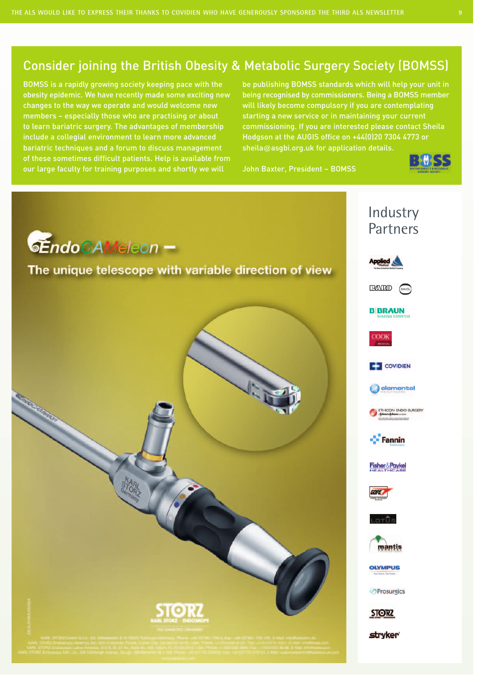### Consider joining the British Obesity & Metabolic Surgery Society (BOMSS)

BOMSS is a rapidly growing society keeping pace with the obesity epidemic. We have recently made some exciting new changes to the way we operate and would welcome new members – especially those who are practising or about to learn bariatric surgery. The advantages of membership include a collegial environment to learn more advanced bariatric techniques and a forum to discuss management of these sometimes difficult patients. Help is available from our large faculty for training purposes and shortly we will

be publishing BOMSS standards which will help your unit in being recognised by commissioners. Being a BOMSS member will likely become compulsory if you are contemplating starting a new service or in maintaining your current commissioning. If you are interested please contact Sheila Hodgson at the AUGIS office on +44(0)20 7304 4773 or sheila@asgbi.org.uk for application details.

John Baxter, President – BOMSS

![](_page_8_Picture_5.jpeg)

![](_page_8_Picture_6.jpeg)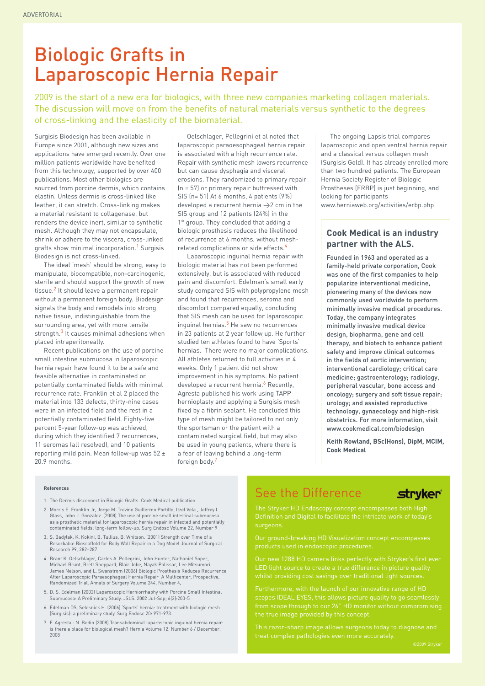# Biologic Grafts in Laparoscopic Hernia Repair

2009 is the start of a new era for biologics, with three new companies marketing collagen materials. The discussion will move on from the benefits of natural materials versus synthetic to the degrees of cross-linking and the elasticity of the biomaterial.

Surgisis Biodesign has been available in Europe since 2001, although new sizes and applications have emerged recently. Over one million patients worldwide have benefited from this technology, supported by over 400 publications. Most other biologics are sourced from porcine dermis, which contains elastin. Unless dermis is cross-linked like leather, it can stretch. Cross-linking makes a material resistant to collagenase, but renders the device inert, similar to synthetic mesh. Although they may not encapsulate, shrink or adhere to the viscera, cross-linked grafts show minimal incorporation.<sup>1</sup> Surgisis Biodesign is not cross-linked.

The ideal 'mesh' should be strong, easy to manipulate, biocompatible, non-carcinogenic, sterile and should support the growth of new tissue.<sup>2</sup> It should leave a permanent repair without a permanent foreign body. Biodesign signals the body and remodels into strong native tissue, indistinguishable from the surrounding area, yet with more tensile strength.<sup>3</sup> It causes minimal adhesions when placed intraperitoneally.

Recent publications on the use of porcine small intestine submucosa in laparoscopic hernia repair have found it to be a safe and feasible alternative in contaminated or potentially contaminated fields with minimal recurrence rate. Franklin et al 2 placed the material into 133 defects, thirty-nine cases were in an infected field and the rest in a potentially contaminated field. Eighty-five percent 5-year follow-up was achieved, during which they identified 7 recurrences, 11 seromas (all resolved), and 10 patients reporting mild pain. Mean follow-up was 52 ± 20.9 months.

Oelschlager, Pellegrini et al noted that laparoscopic paraoesophageal hernia repair is associated with a high recurrence rate. Repair with synthetic mesh lowers recurrence but can cause dysphagia and visceral erosions. They randomized to primary repair (n = 57) or primary repair buttressed with SIS (n= 51) At 6 months, 4 patients (9%) developed a recurrent hernia  $\rightarrow$  2 cm in the SIS group and 12 patients (24%) in the 1° group. They concluded that adding a biologic prosthesis reduces the likelihood of recurrence at 6 months, without meshrelated complications or side effects.<sup>4</sup>

Laparoscopic inguinal hernia repair with biologic material has not been performed extensively, but is associated with reduced pain and discomfort. Edelman's small early study compared SIS with polypropylene mesh and found that recurrences, seroma and discomfort compared equally, concluding that SIS mesh can be used for laparoscopic inguinal hernias.<sup>5</sup> He saw no recurrences in 23 patients at 2 year follow up. He further studied ten athletes found to have 'Sports' hernias. There were no major complications. All athletes returned to full activities in 4 weeks. Only 1 patient did not show improvement in his symptoms. No patient developed a recurrent hernia.<sup>6</sup> Recently, Agresta published his work using TAPP hernioplasty and applying a Surgisis mesh fixed by a fibrin sealant. He concluded this type of mesh might be tailored to not only the sportsman or the patient with a contaminated surgical field, but may also be used in young patients, where there is a fear of leaving behind a long-term foreign body.<sup>7</sup>

The ongoing Lapsis trial compares laparoscopic and open ventral hernia repair and a classical versus collagen mesh (Surgisis Gold). It has already enrolled more than two hundred patients. The European Hernia Society Register of Biologic Prostheses (ERBP) is just beginning, and looking for participants www.herniaweb.org/activities/erbp.php

#### **Cook Medical is an industry partner with the ALS.**

Founded in 1963 and operated as a family-held private corporation, Cook was one of the first companies to help popularize interventional medicine, pioneering many of the devices now commonly used worldwide to perform minimally invasive medical procedures. Today, the company integrates minimally invasive medical device design, biopharma, gene and cell therapy, and biotech to enhance patient safety and improve clinical outcomes in the fields of aortic intervention; interventional cardiology; critical care medicine; gastroenterology; radiology, peripheral vascular, bone access and oncology; surgery and soft tissue repair; urology; and assisted reproductive technology, gynaecology and high-risk obstetrics. For more information, visit www.cookmedical.com/biodesign

**Keith Rowland, BSc(Hons), DipM, MCIM, Cook Medical**

#### **References**

- 1. The Dermis disconnect in Biologic Grafts. Cook Medical publication
- 2. Morris E. Franklin Jr, Jorge M. Trevino Guillermo Portillo, Itzel Vela , Jeffrey L. Glass, John J. Gonzalez. (2008) The use of porcine small intestinal submucosa as a prosthetic material for laparoscopic hernia repair in infected and potentially contaminated fields: long-term follow-up. Surg Endosc Volume 22, Number 9
- 3. S. Badylak, K. Kokini, B. Tullius, B. Whitson. (2001) Strength over Time of a Resorbable Bioscaffold for Body Wall Repair in a Dog Model Journal of Surgical Research 99, 282-287
- 4. Brant K. Oelschlager, Carlos A. Pellegrini, John Hunter, Nathaniel Soper, Michael Brunt, Brett Sheppard, Blair Jobe, Nayak Polissar, Lee Mitsumori, James Nelson, and L. Swanstrom (2006) Biologic Prosthesis Reduces Recurrence After Laparoscopic Paraesophageal Hernia Repair A Multicenter, Prospective, Randomized Trial. Annals of Surgery Volume 244, Number 4,
- 5. D. S. Edelman (2002) Laparoscopic Herniorrhaphy with Porcine Small Intestinal Submucosa: A Preliminary Study. JSLS. 2002 Jul-Sep; 6(3):203-5
- 6. Edelman DS, Selesnick H. (2006) 'Sports' hernia: treatment with biologic mesh (Surgisis): a preliminary study. Surg Endosc 20: 971-973.
- 7. F. Agresta · N. Bedin (2008) Transabdominal laparoscopic inguinal hernia repair: is there a place for biological mesh? Hernia Volume 12, Number 6 / December, 2008

### See the Difference

#### stryker<sup>®</sup>

Definition and Digital to facilitate the intricate work of today's surgeons.

Our ground-breaking HD Visualization concept encompasses

scopes IDEAL EYES, this allows picture quality to go seamlessly the true image provided by this concept.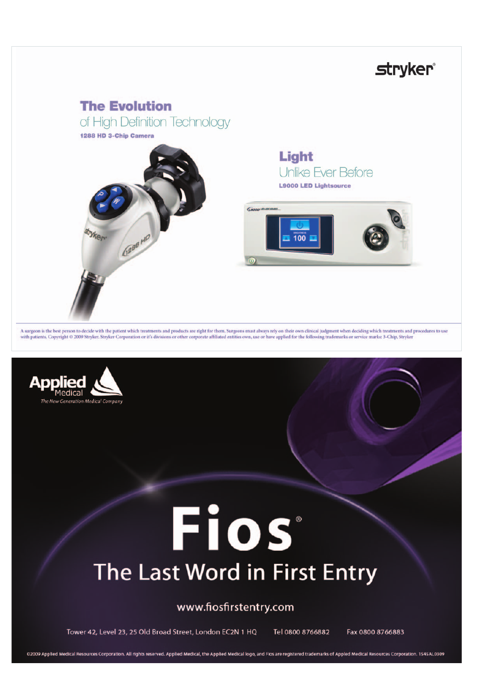# **stryker**®

## **The Evolution**

of High Definition Technology

1288 HD 3-Chip Camera

![](_page_10_Picture_4.jpeg)

Light Unlike Ever Before **L9000 LED Lightsource** 

![](_page_10_Picture_6.jpeg)

A surgeon is the best person to decide with the patient which treatments and products are right for them. Surgeons must always rely on their own clinical judgment when deciding which treatments and procedures to use with p

![](_page_10_Picture_8.jpeg)

# Fios The Last Word in First Entry

#### www.fiosfirstentry.com

Tower 42, Level 23, 25 Old Broad Street, London EC2N 1 HQ Tel 0800 8766882 Fax 0800 8766883